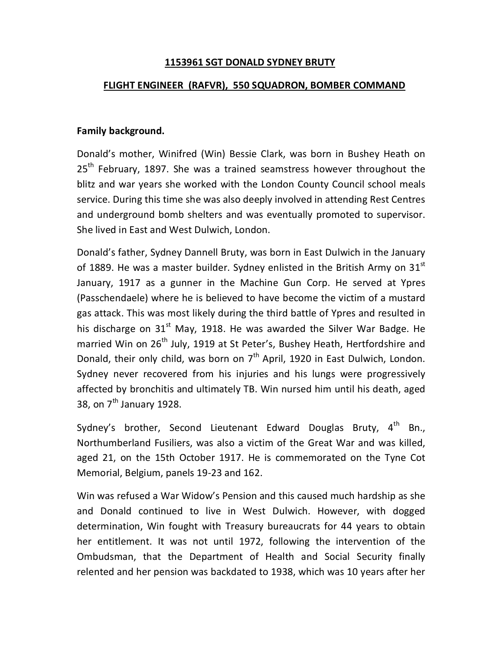### **1153961 SGT DONALD SYDNEY BRUTY**

# **FLIGHT ENGINEER (RAFVR), 550 SQUADRON, BOMBER COMMAND**

# **Family background.**

Donald's mother, Winifred (Win) Bessie Clark, was born in Bushey Heath on 25<sup>th</sup> February, 1897. She was a trained seamstress however throughout the blitz and war years she worked with the London County Council school meals service. During this time she was also deeply involved in attending Rest Centres and underground bomb shelters and was eventually promoted to supervisor. She lived in East and West Dulwich, London.

Donald's father, Sydney Dannell Bruty, was born in East Dulwich in the January of 1889. He was a master builder. Sydney enlisted in the British Army on  $31<sup>st</sup>$ January, 1917 as a gunner in the Machine Gun Corp. He served at Ypres (Passchendaele) where he is believed to have become the victim of a mustard gas attack. This was most likely during the third battle of Ypres and resulted in his discharge on  $31<sup>st</sup>$  May, 1918. He was awarded the Silver War Badge. He married Win on 26<sup>th</sup> July, 1919 at St Peter's, Bushey Heath, Hertfordshire and Donald, their only child, was born on  $7<sup>th</sup>$  April, 1920 in East Dulwich, London. Sydney never recovered from his injuries and his lungs were progressively affected by bronchitis and ultimately TB. Win nursed him until his death, aged 38, on  $7^{th}$  January 1928.

Sydney's brother, Second Lieutenant Edward Douglas Bruty,  $4<sup>th</sup>$  Bn., Northumberland Fusiliers, was also a victim of the Great War and was killed, aged 21, on the 15th October 1917. He is commemorated on the Tyne Cot Memorial, Belgium, panels 19-23 and 162.

Win was refused a War Widow's Pension and this caused much hardship as she and Donald continued to live in West Dulwich. However, with dogged determination, Win fought with Treasury bureaucrats for 44 years to obtain her entitlement. It was not until 1972, following the intervention of the Ombudsman, that the Department of Health and Social Security finally relented and her pension was backdated to 1938, which was 10 years after her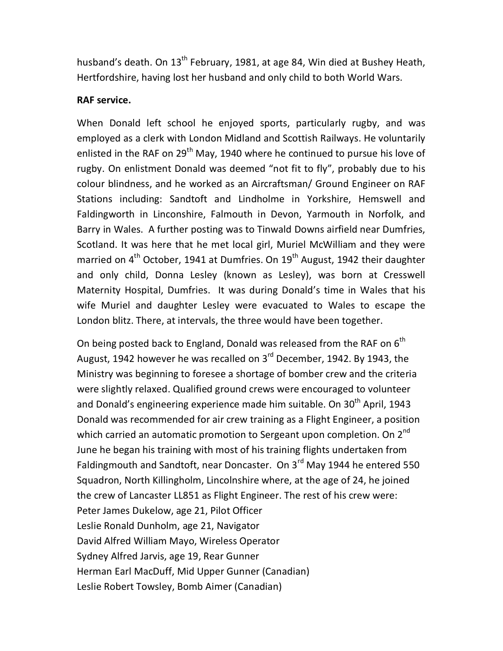husband's death. On  $13^{th}$  February, 1981, at age 84, Win died at Bushey Heath, Hertfordshire, having lost her husband and only child to both World Wars.

#### **RAF service.**

When Donald left school he enjoyed sports, particularly rugby, and was employed as a clerk with London Midland and Scottish Railways. He voluntarily enlisted in the RAF on 29<sup>th</sup> May, 1940 where he continued to pursue his love of rugby. On enlistment Donald was deemed "not fit to fly", probably due to his colour blindness, and he worked as an Aircraftsman/ Ground Engineer on RAF Stations including: Sandtoft and Lindholme in Yorkshire, Hemswell and Faldingworth in Linconshire, Falmouth in Devon, Yarmouth in Norfolk, and Barry in Wales. A further posting was to Tinwald Downs airfield near Dumfries, Scotland. It was here that he met local girl, Muriel McWilliam and they were married on  $4<sup>th</sup>$  October, 1941 at Dumfries. On 19 $<sup>th</sup>$  August, 1942 their daughter</sup> and only child, Donna Lesley (known as Lesley), was born at Cresswell Maternity Hospital, Dumfries. It was during Donald's time in Wales that his wife Muriel and daughter Lesley were evacuated to Wales to escape the London blitz. There, at intervals, the three would have been together.

On being posted back to England, Donald was released from the RAF on  $6<sup>th</sup>$ August, 1942 however he was recalled on  $3<sup>rd</sup>$  December, 1942. By 1943, the Ministry was beginning to foresee a shortage of bomber crew and the criteria were slightly relaxed. Qualified ground crews were encouraged to volunteer and Donald's engineering experience made him suitable. On 30<sup>th</sup> April, 1943 Donald was recommended for air crew training as a Flight Engineer, a position which carried an automatic promotion to Sergeant upon completion. On  $2^{nd}$ June he began his training with most of his training flights undertaken from Faldingmouth and Sandtoft, near Doncaster. On  $3^{rd}$  May 1944 he entered 550 Squadron, North Killingholm, Lincolnshire where, at the age of 24, he joined the crew of Lancaster LL851 as Flight Engineer. The rest of his crew were: Peter James Dukelow, age 21, Pilot Officer Leslie Ronald Dunholm, age 21, Navigator David Alfred William Mayo, Wireless Operator Sydney Alfred Jarvis, age 19, Rear Gunner Herman Earl MacDuff, Mid Upper Gunner (Canadian) Leslie Robert Towsley, Bomb Aimer (Canadian)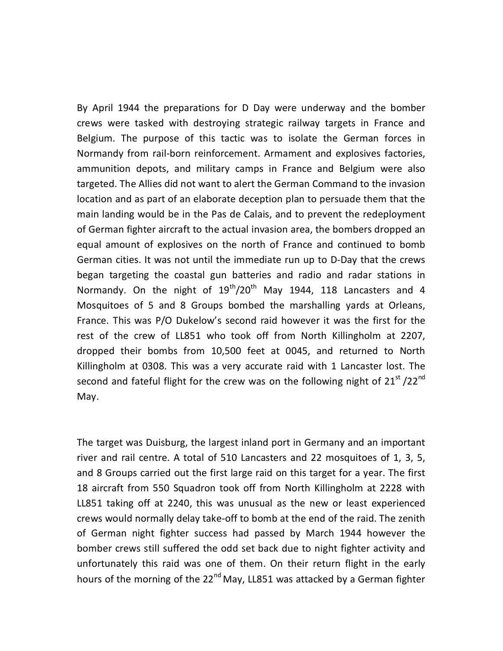By April 1944 the preparations for D Day were underway and the bomber crews were tasked with destroying strategic railway targets in France and Belgium. The purpose of this tactic was to isolate the German forces in Normandy from rail-born reinforcement. Armament and explosives factories, ammunition depots, and military camps in France and Belgium were also targeted. The Allies did not want to alert the German Command to the invasion location and as part of an elaborate deception plan to persuade them that the main landing would be in the Pas de Calais, and to prevent the redeployment of German fighter aircraft to the actual invasion area, the bombers dropped an equal amount of explosives on the north of France and continued to bomb German cities. It was not until the immediate run up to D-Day that the crews began targeting the coastal gun batteries and radio and radar stations in Normandy. On the night of  $19^{th}/20^{th}$  May 1944, 118 Lancasters and 4 Mosquitoes of 5 and 8 Groups bombed the marshalling yards at Orleans, France. This was P/O Dukelow's second raid however it was the first for the rest of the crew of LL851 who took off from North Killingholm at 2207, dropped their bombs from 10,500 feet at 0045, and returned to North Killingholm at 0308. This was a very accurate raid with 1 Lancaster lost. The second and fateful flight for the crew was on the following night of 21<sup>st</sup> /22<sup>nd</sup> May.

The target was Duisburg, the largest inland port in Germany and an important river and rail centre. A total of 510 Lancasters and 22 mosquitoes of 1, 3, 5, and 8 Groups carried out the first large raid on this target for a year. The first 18 aircraft from 550 Squadron took off from North Killingholm at 2228 with LL851 taking off at 2240, this was unusual as the new or least experienced crews would normally delay take-off to bomb at the end of the raid. The zenith of German night fighter success had passed by March 1944 however the bomber crews still suffered the odd set back due to night fighter activity and unfortunately this raid was one of them. On their return flight in the early hours of the morning of the 22<sup>nd</sup> May, LL851 was attacked by a German fighter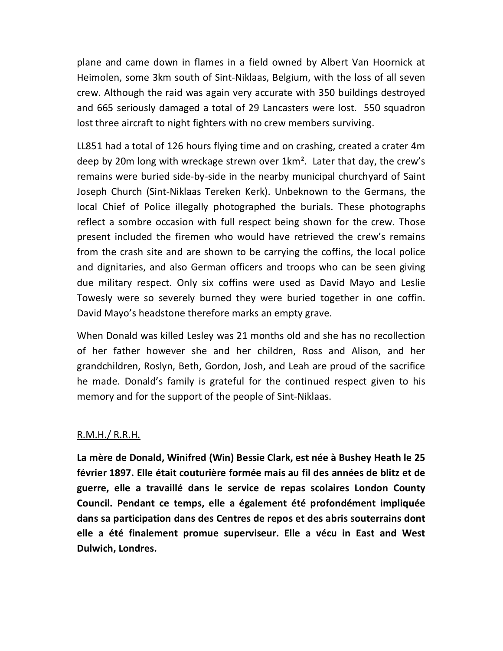plane and came down in flames in a field owned by Albert Van Hoornick at Heimolen, some 3km south of Sint-Niklaas, Belgium, with the loss of all seven crew. Although the raid was again very accurate with 350 buildings destroyed and 665 seriously damaged a total of 29 Lancasters were lost. 550 squadron lost three aircraft to night fighters with no crew members surviving.

LL851 had a total of 126 hours flying time and on crashing, created a crater 4m deep by 20m long with wreckage strewn over 1km². Later that day, the crew's remains were buried side-by-side in the nearby municipal churchyard of Saint Joseph Church (Sint-Niklaas Tereken Kerk). Unbeknown to the Germans, the local Chief of Police illegally photographed the burials. These photographs reflect a sombre occasion with full respect being shown for the crew. Those present included the firemen who would have retrieved the crew's remains from the crash site and are shown to be carrying the coffins, the local police and dignitaries, and also German officers and troops who can be seen giving due military respect. Only six coffins were used as David Mayo and Leslie Towesly were so severely burned they were buried together in one coffin. David Mayo's headstone therefore marks an empty grave.

When Donald was killed Lesley was 21 months old and she has no recollection of her father however she and her children, Ross and Alison, and her grandchildren, Roslyn, Beth, Gordon, Josh, and Leah are proud of the sacrifice he made. Donald's family is grateful for the continued respect given to his memory and for the support of the people of Sint-Niklaas.

#### R.M.H./ R.R.H.

**La mère de Donald, Winifred (Win) Bessie Clark, est née à Bushey Heath le 25 février 1897. Elle était couturière formée mais au fil des années de blitz et de guerre, elle a travaillé dans le service de repas scolaires London County Council. Pendant ce temps, elle a également été profondément impliquée dans sa participation dans des Centres de repos et des abris souterrains dont elle a été finalement promue superviseur. Elle a vécu in East and West Dulwich, Londres.**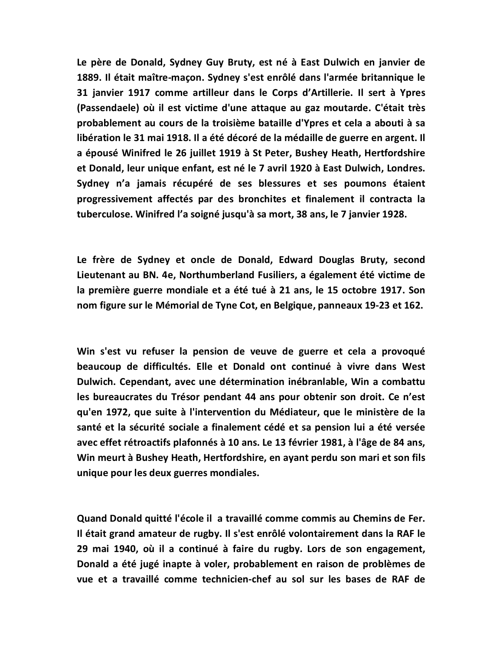**Le père de Donald, Sydney Guy Bruty, est né à East Dulwich en janvier de 1889. Il était maître-maçon. Sydney s'est enrôlé dans l'armée britannique le 31 janvier 1917 comme artilleur dans le Corps d'Artillerie. Il sert à Ypres (Passendaele) où il est victime d'une attaque au gaz moutarde. C'était très probablement au cours de la troisième bataille d'Ypres et cela a abouti à sa libération le 31 mai 1918. Il a été décoré de la médaille de guerre en argent. Il a épousé Winifred le 26 juillet 1919 à St Peter, Bushey Heath, Hertfordshire et Donald, leur unique enfant, est né le 7 avril 1920 à East Dulwich, Londres. Sydney n'a jamais récupéré de ses blessures et ses poumons étaient progressivement affectés par des bronchites et finalement il contracta la tuberculose. Winifred l'a soigné jusqu'à sa mort, 38 ans, le 7 janvier 1928.** 

**Le frère de Sydney et oncle de Donald, Edward Douglas Bruty, second Lieutenant au BN. 4e, Northumberland Fusiliers, a également été victime de la première guerre mondiale et a été tué à 21 ans, le 15 octobre 1917. Son nom figure sur le Mémorial de Tyne Cot, en Belgique, panneaux 19-23 et 162.** 

**Win s'est vu refuser la pension de veuve de guerre et cela a provoqué beaucoup de difficultés. Elle et Donald ont continué à vivre dans West Dulwich. Cependant, avec une détermination inébranlable, Win a combattu les bureaucrates du Trésor pendant 44 ans pour obtenir son droit. Ce n'est qu'en 1972, que suite à l'intervention du Médiateur, que le ministère de la santé et la sécurité sociale a finalement cédé et sa pension lui a été versée avec effet rétroactifs plafonnés à 10 ans. Le 13 février 1981, à l'âge de 84 ans, Win meurt à Bushey Heath, Hertfordshire, en ayant perdu son mari et son fils unique pour les deux guerres mondiales.** 

**Quand Donald quitté l'école il a travaillé comme commis au Chemins de Fer. Il était grand amateur de rugby. Il s'est enrôlé volontairement dans la RAF le 29 mai 1940, où il a continué à faire du rugby. Lors de son engagement, Donald a été jugé inapte à voler, probablement en raison de problèmes de vue et a travaillé comme technicien-chef au sol sur les bases de RAF de**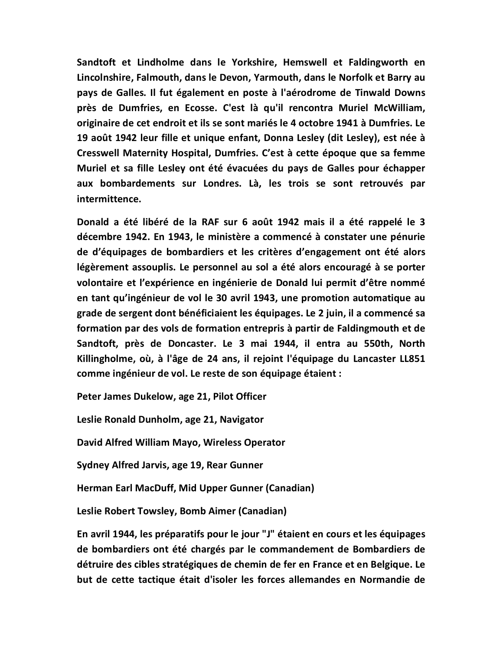**Sandtoft et Lindholme dans le Yorkshire, Hemswell et Faldingworth en Lincolnshire, Falmouth, dans le Devon, Yarmouth, dans le Norfolk et Barry au pays de Galles. Il fut également en poste à l'aérodrome de Tinwald Downs près de Dumfries, en Ecosse. C'est là qu'il rencontra Muriel McWilliam, originaire de cet endroit et ils se sont mariés le 4 octobre 1941 à Dumfries. Le 19 août 1942 leur fille et unique enfant, Donna Lesley (dit Lesley), est née à Cresswell Maternity Hospital, Dumfries. C'est à cette époque que sa femme Muriel et sa fille Lesley ont été évacuées du pays de Galles pour échapper aux bombardements sur Londres. Là, les trois se sont retrouvés par intermittence.** 

**Donald a été libéré de la RAF sur 6 août 1942 mais il a été rappelé le 3 décembre 1942. En 1943, le ministère a commencé à constater une pénurie de d'équipages de bombardiers et les critères d'engagement ont été alors légèrement assouplis. Le personnel au sol a été alors encouragé à se porter volontaire et l'expérience en ingénierie de Donald lui permit d'être nommé en tant qu'ingénieur de vol le 30 avril 1943, une promotion automatique au grade de sergent dont bénéficiaient les équipages. Le 2 juin, il a commencé sa formation par des vols de formation entrepris à partir de Faldingmouth et de Sandtoft, près de Doncaster. Le 3 mai 1944, il entra au 550th, North Killingholme, où, à l'âge de 24 ans, il rejoint l'équipage du Lancaster LL851 comme ingénieur de vol. Le reste de son équipage étaient :** 

**Peter James Dukelow, age 21, Pilot Officer** 

**Leslie Ronald Dunholm, age 21, Navigator** 

**David Alfred William Mayo, Wireless Operator** 

**Sydney Alfred Jarvis, age 19, Rear Gunner** 

**Herman Earl MacDuff, Mid Upper Gunner (Canadian)** 

**Leslie Robert Towsley, Bomb Aimer (Canadian)** 

**En avril 1944, les préparatifs pour le jour "J" étaient en cours et les équipages de bombardiers ont été chargés par le commandement de Bombardiers de détruire des cibles stratégiques de chemin de fer en France et en Belgique. Le but de cette tactique était d'isoler les forces allemandes en Normandie de**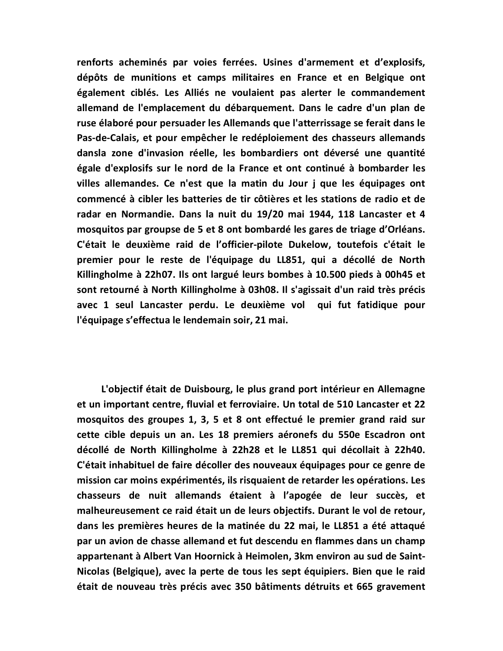**renforts acheminés par voies ferrées. Usines d'armement et d'explosifs, dépôts de munitions et camps militaires en France et en Belgique ont également ciblés. Les Alliés ne voulaient pas alerter le commandement allemand de l'emplacement du débarquement. Dans le cadre d'un plan de ruse élaboré pour persuader les Allemands que l'atterrissage se ferait dans le Pas-de-Calais, et pour empêcher le redéploiement des chasseurs allemands dansla zone d'invasion réelle, les bombardiers ont déversé une quantité égale d'explosifs sur le nord de la France et ont continué à bombarder les villes allemandes. Ce n'est que la matin du Jour j que les équipages ont commencé à cibler les batteries de tir côtières et les stations de radio et de radar en Normandie. Dans la nuit du 19/20 mai 1944, 118 Lancaster et 4 mosquitos par groupse de 5 et 8 ont bombardé les gares de triage d'Orléans. C'était le deuxième raid de l'officier-pilote Dukelow, toutefois c'était le premier pour le reste de l'équipage du LL851, qui a décollé de North Killingholme à 22h07. Ils ont largué leurs bombes à 10.500 pieds à 00h45 et sont retourné à North Killingholme à 03h08. Il s'agissait d'un raid très précis avec 1 seul Lancaster perdu. Le deuxième vol qui fut fatidique pour l'équipage s'effectua le lendemain soir, 21 mai.** 

 **L'objectif était de Duisbourg, le plus grand port intérieur en Allemagne et un important centre, fluvial et ferroviaire. Un total de 510 Lancaster et 22 mosquitos des groupes 1, 3, 5 et 8 ont effectué le premier grand raid sur cette cible depuis un an. Les 18 premiers aéronefs du 550e Escadron ont décollé de North Killingholme à 22h28 et le LL851 qui décollait à 22h40. C'était inhabituel de faire décoller des nouveaux équipages pour ce genre de mission car moins expérimentés, ils risquaient de retarder les opérations. Les chasseurs de nuit allemands étaient à l'apogée de leur succès, et malheureusement ce raid était un de leurs objectifs. Durant le vol de retour, dans les premières heures de la matinée du 22 mai, le LL851 a été attaqué par un avion de chasse allemand et fut descendu en flammes dans un champ appartenant à Albert Van Hoornick à Heimolen, 3km environ au sud de Saint-Nicolas (Belgique), avec la perte de tous les sept équipiers. Bien que le raid était de nouveau très précis avec 350 bâtiments détruits et 665 gravement**